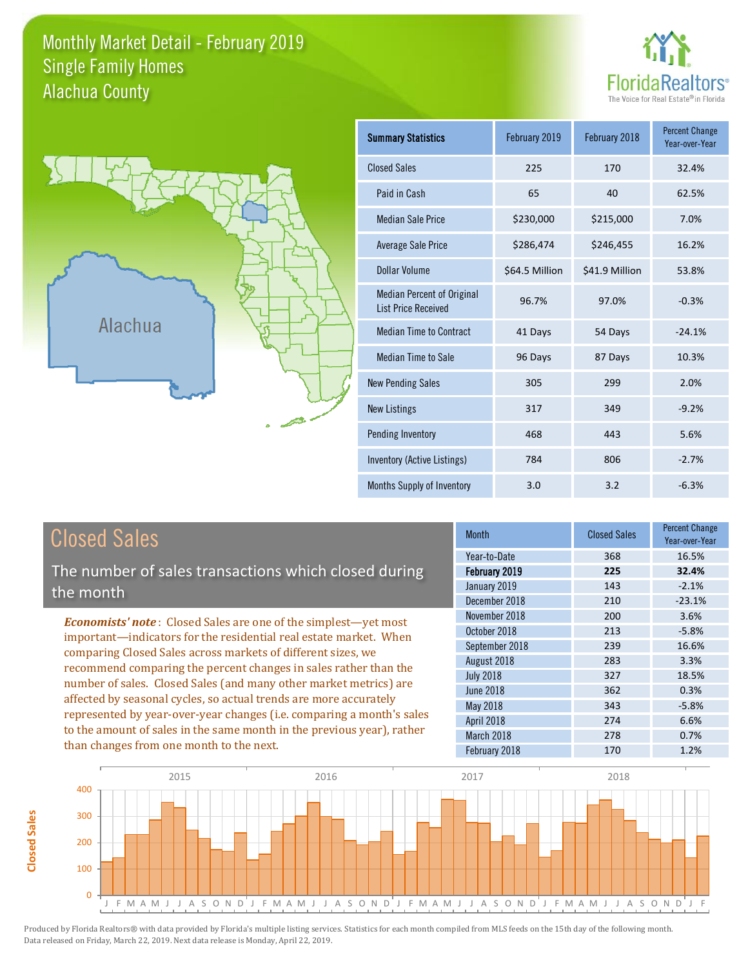#### Monthly Market Detail - February 2019 Alachua County Single Family Homes





**Closed Sales**

**Closed Sales** 

| <b>Summary Statistics</b>                                       | February 2019  | February 2018  | <b>Percent Change</b><br>Year-over-Year |
|-----------------------------------------------------------------|----------------|----------------|-----------------------------------------|
| <b>Closed Sales</b>                                             | 225            | 170            | 32.4%                                   |
| Paid in Cash                                                    | 65             | 40             | 62.5%                                   |
| <b>Median Sale Price</b>                                        | \$230,000      | \$215,000      | 7.0%                                    |
| <b>Average Sale Price</b>                                       | \$286,474      | \$246,455      | 16.2%                                   |
| Dollar Volume                                                   | \$64.5 Million | \$41.9 Million | 53.8%                                   |
| <b>Median Percent of Original</b><br><b>List Price Received</b> | 96.7%          | 97.0%          | $-0.3%$                                 |
| <b>Median Time to Contract</b>                                  | 41 Days        | 54 Days        | $-24.1%$                                |
| <b>Median Time to Sale</b>                                      | 96 Days        | 87 Days        | 10.3%                                   |
| <b>New Pending Sales</b>                                        | 305            | 299            | 2.0%                                    |
| <b>New Listings</b>                                             | 317            | 349            | $-9.2%$                                 |
| Pending Inventory                                               | 468            | 443            | 5.6%                                    |
| Inventory (Active Listings)                                     | 784            | 806            | $-2.7%$                                 |
| Months Supply of Inventory                                      | 3.0            | 3.2            | $-6.3%$                                 |

| <b>Closed Sales</b>                                                                                                                                                                                                                                                                                                                                 | <b>Month</b>                                  | <b>Closed Sales</b> | <b>Percent Change</b><br>Year-over-Year |
|-----------------------------------------------------------------------------------------------------------------------------------------------------------------------------------------------------------------------------------------------------------------------------------------------------------------------------------------------------|-----------------------------------------------|---------------------|-----------------------------------------|
| The number of sales transactions which closed during                                                                                                                                                                                                                                                                                                | Year-to-Date<br>February 2019<br>January 2019 | 368<br>225<br>143   | 16.5%<br>32.4%<br>$-2.1%$               |
| the month                                                                                                                                                                                                                                                                                                                                           | December 2018                                 | 210                 | $-23.1%$                                |
| <b>Economists' note:</b> Closed Sales are one of the simplest—yet most                                                                                                                                                                                                                                                                              | November 2018                                 | 200                 | 3.6%                                    |
| important-indicators for the residential real estate market. When                                                                                                                                                                                                                                                                                   | October 2018                                  | 213                 | $-5.8%$                                 |
| comparing Closed Sales across markets of different sizes, we<br>recommend comparing the percent changes in sales rather than the<br>number of sales. Closed Sales (and many other market metrics) are<br>affected by seasonal cycles, so actual trends are more accurately<br>represented by year-over-year changes (i.e. comparing a month's sales | September 2018                                | 239                 | 16.6%                                   |
|                                                                                                                                                                                                                                                                                                                                                     | August 2018                                   | 283                 | 3.3%                                    |
|                                                                                                                                                                                                                                                                                                                                                     | <b>July 2018</b>                              | 327                 | 18.5%                                   |
|                                                                                                                                                                                                                                                                                                                                                     | <b>June 2018</b>                              | 362                 | 0.3%                                    |
|                                                                                                                                                                                                                                                                                                                                                     | May 2018                                      | 343                 | $-5.8%$                                 |
|                                                                                                                                                                                                                                                                                                                                                     | April 2018                                    | 274                 | 6.6%                                    |
| to the amount of sales in the same month in the previous year), rather                                                                                                                                                                                                                                                                              | March 2018                                    | 278                 | 0.7%                                    |
| than changes from one month to the next.                                                                                                                                                                                                                                                                                                            | February 2018                                 | 170                 | 1.2%                                    |

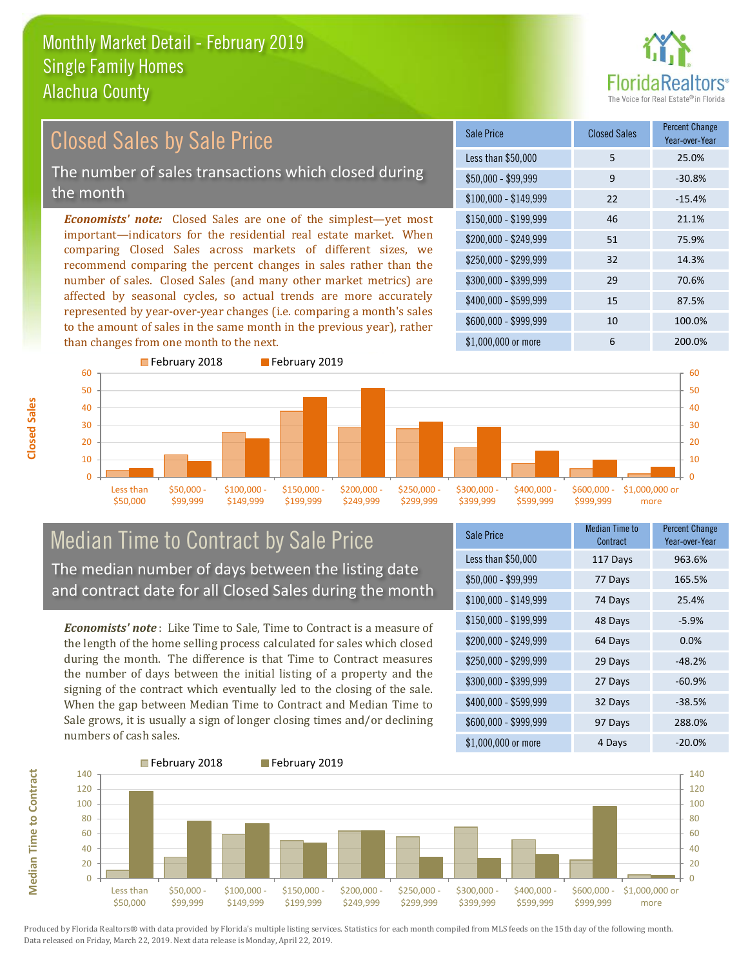than changes from one month to the next.



#### *Economists' note:* Closed Sales are one of the simplest—yet most important—indicators for the residential real estate market. When comparing Closed Sales across markets of different sizes, we recommend comparing the percent changes in sales rather than the number of sales. Closed Sales (and many other market metrics) are affected by seasonal cycles, so actual trends are more accurately represented by year-over-year changes (i.e. comparing a month's sales to the amount of sales in the same month in the previous year), rather \$250,000 - \$299,999 32 14.3% \$300,000 - \$399,999 29 70.6% \$400,000 - \$599,999 15 87.5% \$600,000 - \$999,999 10 100.0% \$150,000 - \$199,999 46 21.1% \$200,000 - \$249,999 51 75.9%  $$100,000 - $149,999$  22 -15.4% Sale Price Closed Sales Percent Change Year-over-Year Less than \$50,000 5 25.0%  $$50.000 - $99.999$  9 -30.8% Closed Sales by Sale Price The number of sales transactions which closed during the month



#### Median Time to Contract by Sale Price The median number of days between the listing date and contract date for all Closed Sales during the month

*Economists' note* : Like Time to Sale, Time to Contract is a measure of the length of the home selling process calculated for sales which closed during the month. The difference is that Time to Contract measures the number of days between the initial listing of a property and the signing of the contract which eventually led to the closing of the sale. When the gap between Median Time to Contract and Median Time to Sale grows, it is usually a sign of longer closing times and/or declining numbers of cash sales.

| <b>Sale Price</b>     | <b>Median Time to</b><br>Contract | <b>Percent Change</b><br>Year-over-Year |
|-----------------------|-----------------------------------|-----------------------------------------|
| Less than \$50,000    | 117 Days                          | 963.6%                                  |
| $$50,000 - $99,999$   | 77 Days                           | 165.5%                                  |
| $$100,000 - $149,999$ | 74 Days                           | 25.4%                                   |
| $$150,000 - $199,999$ | 48 Days                           | $-5.9%$                                 |
| \$200,000 - \$249,999 | 64 Days                           | 0.0%                                    |
| \$250,000 - \$299,999 | 29 Days                           | $-48.2%$                                |
| \$300,000 - \$399,999 | 27 Days                           | $-60.9%$                                |
| \$400,000 - \$599,999 | 32 Days                           | $-38.5%$                                |
| \$600,000 - \$999,999 | 97 Days                           | 288.0%                                  |
| \$1,000,000 or more   | 4 Days                            | $-20.0%$                                |

\$1,000,000 or more 6 200.0%



**Closed Sales**

**Median Time to Contract Median Time to Contract**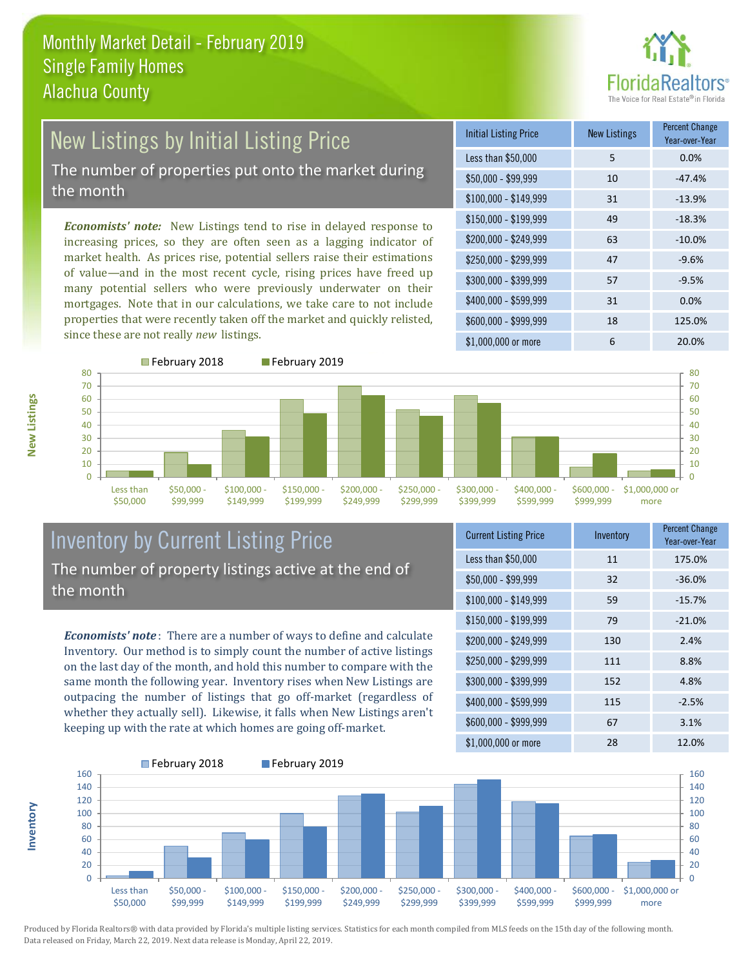

## New Listings by Initial Listing Price The number of properties put onto the market during the month

*Economists' note:* New Listings tend to rise in delayed response to increasing prices, so they are often seen as a lagging indicator of market health. As prices rise, potential sellers raise their estimations of value—and in the most recent cycle, rising prices have freed up many potential sellers who were previously underwater on their mortgages. Note that in our calculations, we take care to not include properties that were recently taken off the market and quickly relisted, since these are not really *new* listings.

| <b>Initial Listing Price</b> | <b>New Listings</b> | <b>Percent Change</b><br>Year-over-Year |
|------------------------------|---------------------|-----------------------------------------|
| Less than \$50,000           | 5                   | 0.0%                                    |
| $$50,000 - $99,999$          | 10                  | $-47.4%$                                |
| $$100,000 - $149,999$        | 31                  | $-13.9%$                                |
| $$150,000 - $199,999$        | 49                  | $-18.3%$                                |
| \$200,000 - \$249,999        | 63                  | $-10.0%$                                |
| \$250,000 - \$299,999        | 47                  | $-9.6%$                                 |
| \$300,000 - \$399,999        | 57                  | $-9.5%$                                 |
| \$400,000 - \$599,999        | 31                  | 0.0%                                    |
| \$600,000 - \$999,999        | 18                  | 125.0%                                  |
| $$1,000,000$ or more         | 6                   | 20.0%                                   |



## Inventory by Current Listing Price The number of property listings active at the end of the month

*Economists' note* : There are a number of ways to define and calculate Inventory. Our method is to simply count the number of active listings on the last day of the month, and hold this number to compare with the same month the following year. Inventory rises when New Listings are outpacing the number of listings that go off-market (regardless of whether they actually sell). Likewise, it falls when New Listings aren't keeping up with the rate at which homes are going off-market.

| <b>Current Listing Price</b> | Inventory | <b>Percent Change</b><br>Year-over-Year |
|------------------------------|-----------|-----------------------------------------|
| Less than \$50,000           | 11        | 175.0%                                  |
| $$50,000 - $99,999$          | 32        | $-36.0%$                                |
| $$100,000 - $149,999$        | 59        | $-15.7%$                                |
| $$150,000 - $199,999$        | 79        | $-21.0%$                                |
| \$200,000 - \$249,999        | 130       | 2.4%                                    |
| \$250,000 - \$299,999        | 111       | 8.8%                                    |
| \$300,000 - \$399,999        | 152       | 4.8%                                    |
| \$400,000 - \$599,999        | 115       | $-2.5%$                                 |
| \$600,000 - \$999,999        | 67        | 3.1%                                    |
| \$1,000,000 or more          | 28        | 12.0%                                   |



**New Listings**

**Inventory**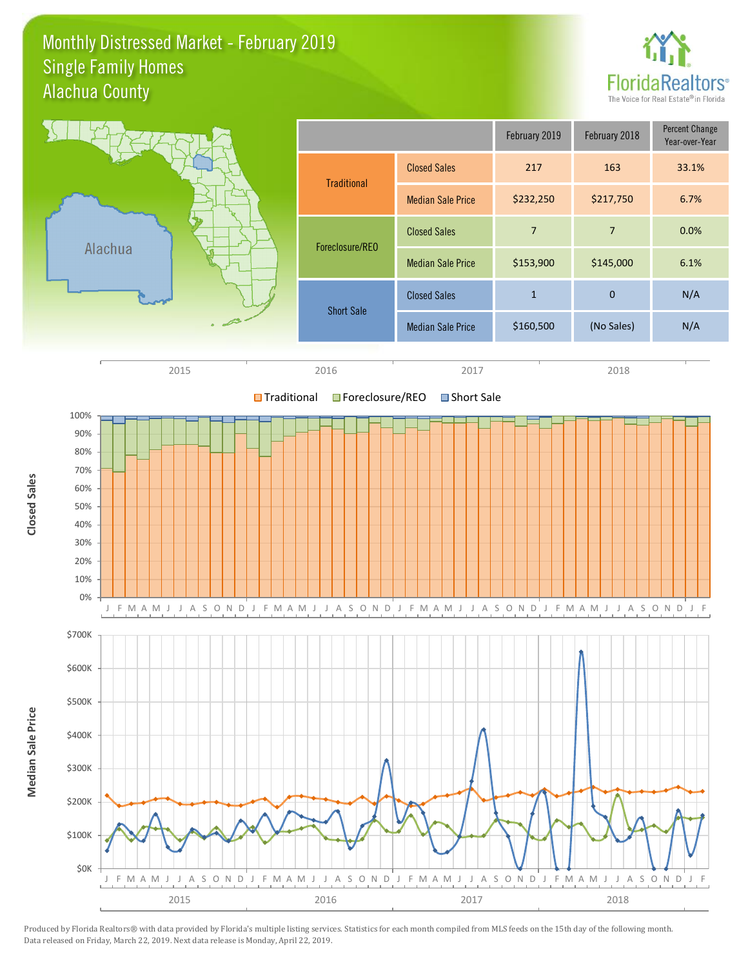#### Monthly Distressed Market - February 2019 Alachua County Single Family Homes



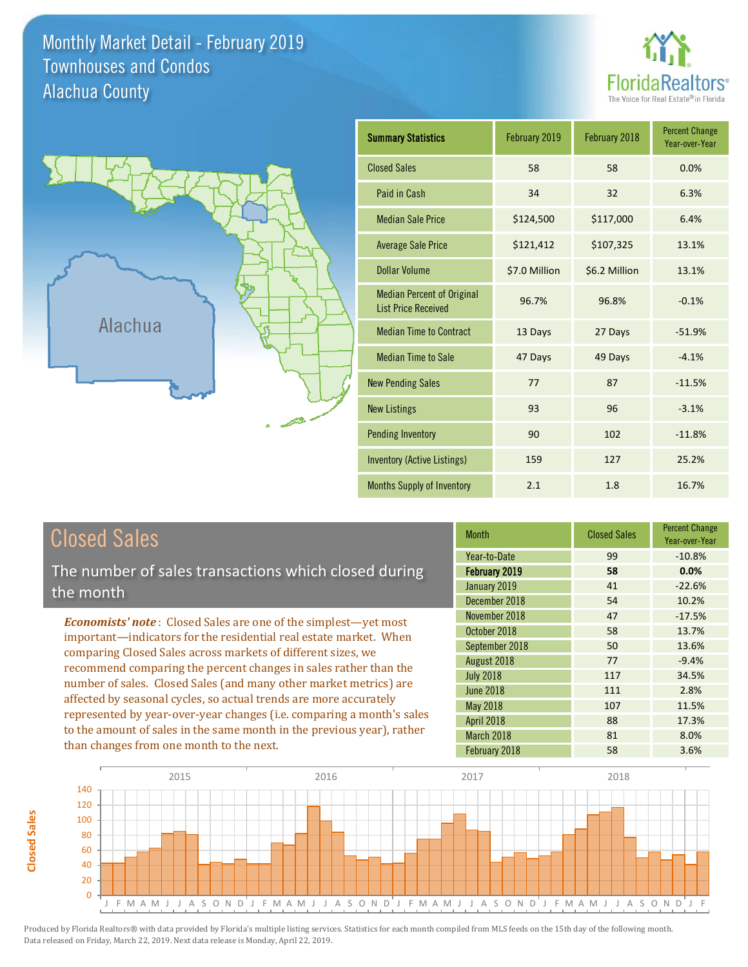Monthly Market Detail - February 2019 Alachua County Townhouses and Condos





**Closed Sales**

**Closed Sales** 

| <b>Summary Statistics</b>                                       | February 2019 | February 2018 | <b>Percent Change</b><br>Year-over-Year |
|-----------------------------------------------------------------|---------------|---------------|-----------------------------------------|
| <b>Closed Sales</b>                                             | 58            | 58            | 0.0%                                    |
| Paid in Cash                                                    | 34            | 32            | 6.3%                                    |
| <b>Median Sale Price</b>                                        | \$124,500     | \$117,000     | 6.4%                                    |
| <b>Average Sale Price</b>                                       | \$121,412     | \$107,325     | 13.1%                                   |
| Dollar Volume                                                   | \$7.0 Million | \$6.2 Million | 13.1%                                   |
| <b>Median Percent of Original</b><br><b>List Price Received</b> | 96.7%         | 96.8%         | $-0.1%$                                 |
| <b>Median Time to Contract</b>                                  | 13 Days       | 27 Days       | $-51.9%$                                |
| <b>Median Time to Sale</b>                                      | 47 Days       | 49 Days       | $-4.1%$                                 |
| <b>New Pending Sales</b>                                        | 77            | 87            | $-11.5%$                                |
| <b>New Listings</b>                                             | 93            | 96            | $-3.1%$                                 |
| <b>Pending Inventory</b>                                        | 90            | 102           | $-11.8%$                                |
| Inventory (Active Listings)                                     | 159           | 127           | 25.2%                                   |
| <b>Months Supply of Inventory</b>                               | 2.1           | 1.8           | 16.7%                                   |

| <b>Closed Sales</b>                                                                                                                                                                                                                                                                                                                                 | <b>Month</b>      | <b>Closed Sales</b> | <b>Percent Change</b><br>Year-over-Year |
|-----------------------------------------------------------------------------------------------------------------------------------------------------------------------------------------------------------------------------------------------------------------------------------------------------------------------------------------------------|-------------------|---------------------|-----------------------------------------|
|                                                                                                                                                                                                                                                                                                                                                     | Year-to-Date      | 99                  | $-10.8%$                                |
| The number of sales transactions which closed during                                                                                                                                                                                                                                                                                                | February 2019     | 58                  | 0.0%                                    |
| the month                                                                                                                                                                                                                                                                                                                                           | January 2019      | 41                  | $-22.6%$                                |
|                                                                                                                                                                                                                                                                                                                                                     | December 2018     | 54                  | 10.2%                                   |
| <b>Economists' note:</b> Closed Sales are one of the simplest—yet most                                                                                                                                                                                                                                                                              | November 2018     | 47                  | $-17.5%$                                |
| important—indicators for the residential real estate market. When                                                                                                                                                                                                                                                                                   | October 2018      | 58                  | 13.7%                                   |
| comparing Closed Sales across markets of different sizes, we<br>recommend comparing the percent changes in sales rather than the<br>number of sales. Closed Sales (and many other market metrics) are<br>affected by seasonal cycles, so actual trends are more accurately<br>represented by year-over-year changes (i.e. comparing a month's sales | September 2018    | 50                  | 13.6%                                   |
|                                                                                                                                                                                                                                                                                                                                                     | August 2018       | 77                  | $-9.4%$                                 |
|                                                                                                                                                                                                                                                                                                                                                     | <b>July 2018</b>  | 117                 | 34.5%                                   |
|                                                                                                                                                                                                                                                                                                                                                     | <b>June 2018</b>  | 111                 | 2.8%                                    |
|                                                                                                                                                                                                                                                                                                                                                     | <b>May 2018</b>   | 107                 | 11.5%                                   |
|                                                                                                                                                                                                                                                                                                                                                     | <b>April 2018</b> | 88                  | 17.3%                                   |
| to the amount of sales in the same month in the previous year), rather                                                                                                                                                                                                                                                                              | March 2018        | 81                  | 8.0%                                    |
| than changes from one month to the next.                                                                                                                                                                                                                                                                                                            | February 2018     | 58                  | 3.6%                                    |

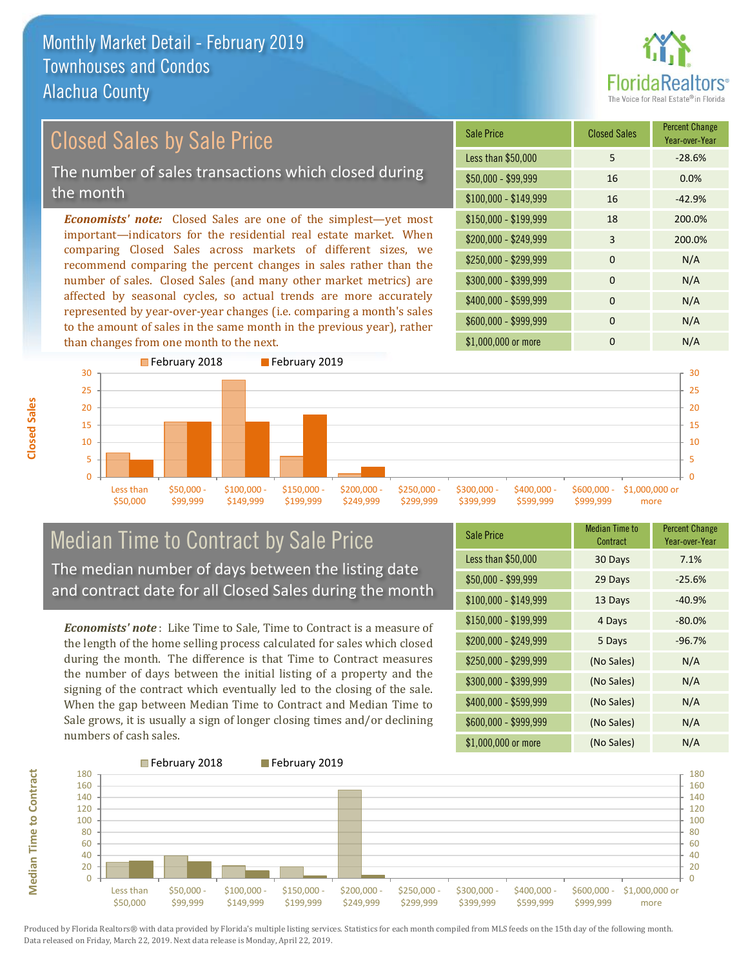

## Closed Sales by Sale Price The number of sales transactions which closed during

the month

*Economists' note:* Closed Sales are one of the simplest—yet most important—indicators for the residential real estate market. When comparing Closed Sales across markets of different sizes, we recommend comparing the percent changes in sales rather than the number of sales. Closed Sales (and many other market metrics) are affected by seasonal cycles, so actual trends are more accurately represented by year-over-year changes (i.e. comparing a month's sales to the amount of sales in the same month in the previous year), rather than changes from one month to the next.

| <b>Sale Price</b>     | <b>Closed Sales</b> | <b>Percent Change</b><br>Year-over-Year |
|-----------------------|---------------------|-----------------------------------------|
| Less than \$50,000    | 5                   | $-28.6%$                                |
| $$50,000 - $99,999$   | 16                  | 0.0%                                    |
| $$100,000 - $149,999$ | 16                  | $-42.9%$                                |
| $$150,000 - $199,999$ | 18                  | 200.0%                                  |
| \$200,000 - \$249,999 | 3                   | 200.0%                                  |
| \$250,000 - \$299,999 | $\Omega$            | N/A                                     |
| \$300,000 - \$399,999 | $\Omega$            | N/A                                     |
| \$400,000 - \$599,999 | $\Omega$            | N/A                                     |
| \$600,000 - \$999,999 | $\Omega$            | N/A                                     |
| \$1,000,000 or more   | n                   | N/A                                     |



#### Median Time to Contract by Sale Price The median number of days between the listing date and contract date for all Closed Sales during the month

*Economists' note* : Like Time to Sale, Time to Contract is a measure of the length of the home selling process calculated for sales which closed during the month. The difference is that Time to Contract measures the number of days between the initial listing of a property and the signing of the contract which eventually led to the closing of the sale. When the gap between Median Time to Contract and Median Time to Sale grows, it is usually a sign of longer closing times and/or declining numbers of cash sales.

| <b>Sale Price</b>     | Median Time to<br>Contract | <b>Percent Change</b><br>Year-over-Year |
|-----------------------|----------------------------|-----------------------------------------|
| Less than \$50,000    | 30 Days                    | 7.1%                                    |
| \$50,000 - \$99,999   | 29 Days                    | $-25.6%$                                |
| $$100,000 - $149,999$ | 13 Days                    | $-40.9%$                                |
| $$150,000 - $199,999$ | 4 Days                     | $-80.0%$                                |
| \$200,000 - \$249,999 | 5 Days                     | $-96.7%$                                |
| \$250,000 - \$299,999 | (No Sales)                 | N/A                                     |
| \$300,000 - \$399,999 | (No Sales)                 | N/A                                     |
| \$400,000 - \$599,999 | (No Sales)                 | N/A                                     |
| \$600,000 - \$999,999 | (No Sales)                 | N/A                                     |
| \$1,000,000 or more   | (No Sales)                 | N/A                                     |



**Median Time to Contract Median Time to Contract**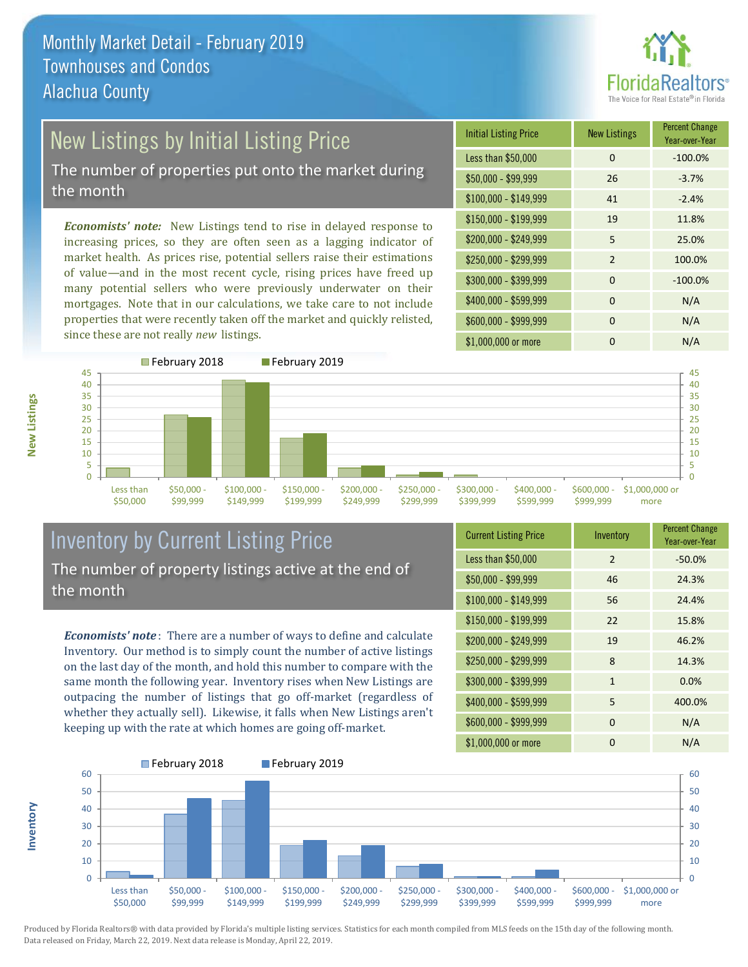

# New Listings by Initial Listing Price

The number of properties put onto the market during the month

*Economists' note:* New Listings tend to rise in delayed response to increasing prices, so they are often seen as a lagging indicator of market health. As prices rise, potential sellers raise their estimations of value—and in the most recent cycle, rising prices have freed up many potential sellers who were previously underwater on their mortgages. Note that in our calculations, we take care to not include properties that were recently taken off the market and quickly relisted, since these are not really *new* listings.

| <b>Initial Listing Price</b> | <b>New Listings</b> | <b>Percent Change</b><br>Year-over-Year |
|------------------------------|---------------------|-----------------------------------------|
| Less than \$50,000           | 0                   | $-100.0%$                               |
| $$50,000 - $99,999$          | 26                  | $-3.7%$                                 |
| $$100,000 - $149,999$        | 41                  | $-2.4%$                                 |
| $$150,000 - $199,999$        | 19                  | 11.8%                                   |
| $$200,000 - $249,999$        | 5                   | 25.0%                                   |
| \$250,000 - \$299,999        | $\mathcal{P}$       | 100.0%                                  |
| \$300,000 - \$399,999        | $\Omega$            | $-100.0%$                               |
| \$400,000 - \$599,999        | $\Omega$            | N/A                                     |
| \$600,000 - \$999,999        | $\Omega$            | N/A                                     |
| \$1,000,000 or more          | ŋ                   | N/A                                     |





#### Inventory by Current Listing Price The number of property listings active at the end of the month

*Economists' note* : There are a number of ways to define and calculate Inventory. Our method is to simply count the number of active listings on the last day of the month, and hold this number to compare with the same month the following year. Inventory rises when New Listings are outpacing the number of listings that go off-market (regardless of whether they actually sell). Likewise, it falls when New Listings aren't keeping up with the rate at which homes are going off-market.

| <b>Current Listing Price</b> | Inventory     | <b>Percent Change</b><br>Year-over-Year |
|------------------------------|---------------|-----------------------------------------|
| Less than \$50,000           | $\mathcal{P}$ | $-50.0%$                                |
| $$50,000 - $99,999$          | 46            | 24.3%                                   |
| $$100,000 - $149,999$        | 56            | 24.4%                                   |
| $$150,000 - $199,999$        | 22            | 15.8%                                   |
| \$200,000 - \$249,999        | 19            | 46.2%                                   |
| \$250,000 - \$299,999        | 8             | 14.3%                                   |
| \$300,000 - \$399,999        | $\mathbf{1}$  | 0.0%                                    |
| \$400,000 - \$599,999        | 5             | 400.0%                                  |
| \$600,000 - \$999,999        | $\Omega$      | N/A                                     |
| \$1,000,000 or more          | 0             | N/A                                     |



**New Listings**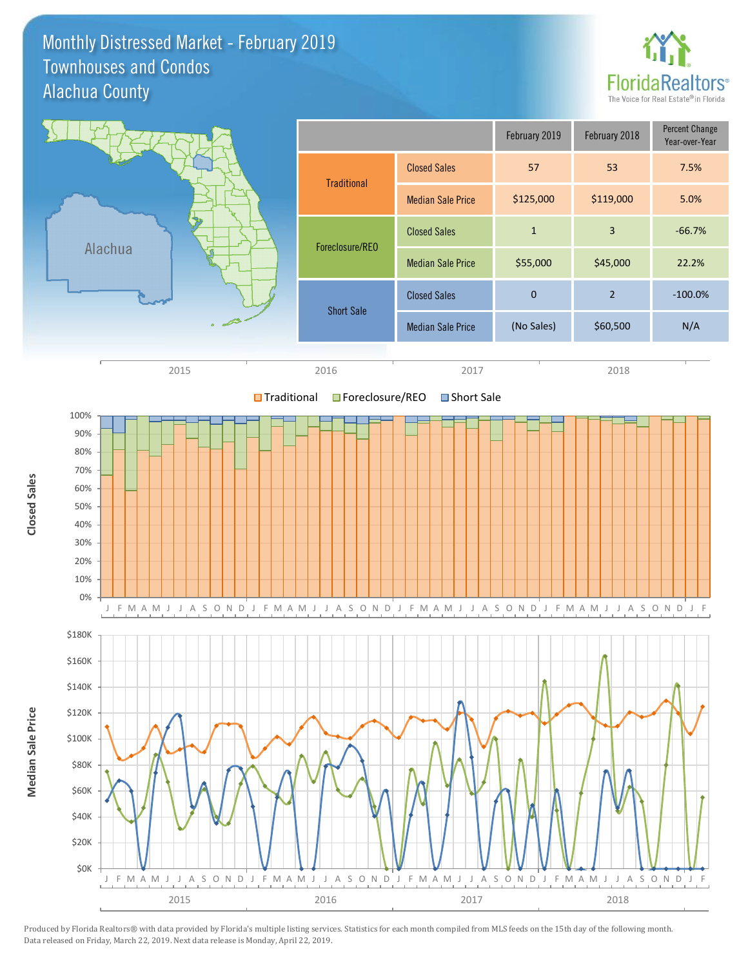#### Monthly Distressed Market - February 2019 Alachua County Townhouses and Condos





Produced by Florida Realtors® with data provided by Florida's multiple listing services. Statistics for each month compiled from MLS feeds on the 15th day of the following month. Data released on Friday, March 22, 2019. Next data release is Monday, April 22, 2019.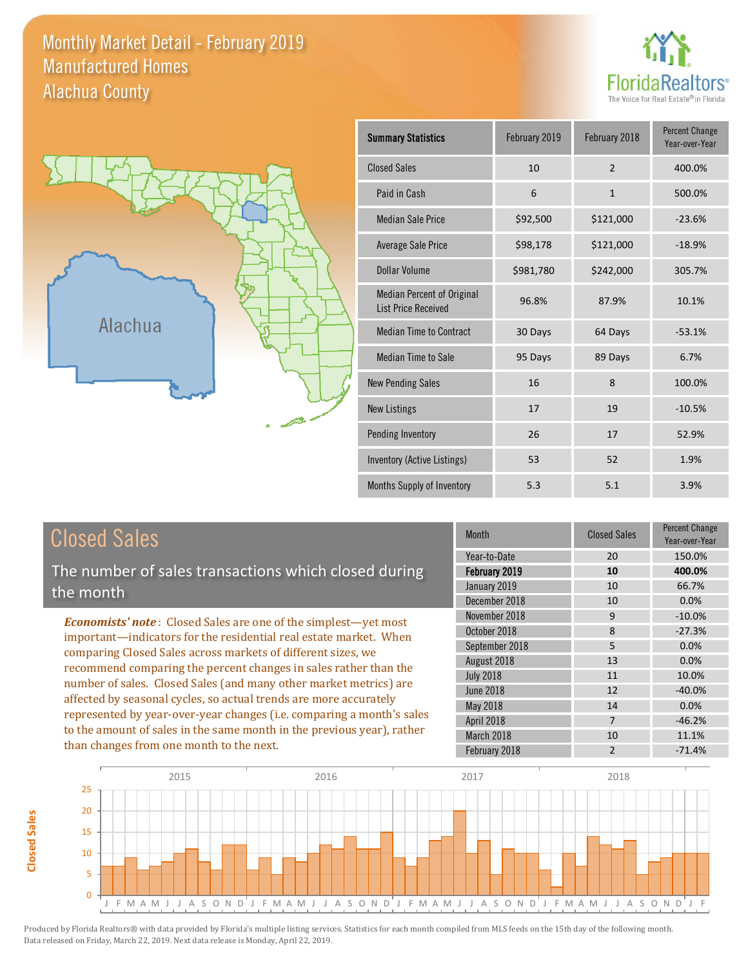#### Monthly Market Detail - February 2019 Alachua County Manufactured Homes





**Closed Sales**

**Closed Sales** 

| <b>Summary Statistics</b>                                       | February 2019 | February 2018            | <b>Percent Change</b><br>Year-over-Year |
|-----------------------------------------------------------------|---------------|--------------------------|-----------------------------------------|
| <b>Closed Sales</b>                                             | 10            | $\overline{\phantom{0}}$ | 400.0%                                  |
| Paid in Cash                                                    | 6             | $\mathbf{1}$             | 500.0%                                  |
| <b>Median Sale Price</b>                                        | \$92,500      | \$121,000                | $-23.6%$                                |
| Average Sale Price                                              | \$98,178      | \$121,000                | $-18.9%$                                |
| Dollar Volume                                                   | \$981,780     | \$242,000                | 305.7%                                  |
| <b>Median Percent of Original</b><br><b>List Price Received</b> | 96.8%         | 87.9%                    | 10.1%                                   |
| <b>Median Time to Contract</b>                                  | 30 Days       | 64 Days                  | $-53.1%$                                |
| <b>Median Time to Sale</b>                                      | 95 Days       | 89 Days                  | 6.7%                                    |
| <b>New Pending Sales</b>                                        | 16            | 8                        | 100.0%                                  |
| <b>New Listings</b>                                             | 17            | 19                       | $-10.5%$                                |
| Pending Inventory                                               | 26            | 17                       | 52.9%                                   |
| Inventory (Active Listings)                                     | 53            | 52                       | 1.9%                                    |
| Months Supply of Inventory                                      | 5.3           | 5.1                      | 3.9%                                    |

| <b>Closed Sales</b>                                                                                                                                                                                                                                                                                                                                  | <b>Month</b>                                                   | <b>Closed Sales</b>  | <b>Percent Change</b><br>Year-over-Year |
|------------------------------------------------------------------------------------------------------------------------------------------------------------------------------------------------------------------------------------------------------------------------------------------------------------------------------------------------------|----------------------------------------------------------------|----------------------|-----------------------------------------|
| The number of sales transactions which closed during<br>the month                                                                                                                                                                                                                                                                                    | Year-to-Date<br>February 2019<br>January 2019<br>December 2018 | 20<br>10<br>10<br>10 | 150.0%<br>400.0%<br>66.7%<br>0.0%       |
| <b>Economists' note:</b> Closed Sales are one of the simplest—yet most<br>important—indicators for the residential real estate market. When<br>comparing Closed Sales across markets of different sizes, we<br>recommend comparing the percent changes in sales rather than the<br>number of sales. Closed Sales (and many other market metrics) are | November 2018<br>October 2018<br>September 2018                | 9<br>8<br>5.         | $-10.0\%$<br>$-27.3%$<br>0.0%           |
|                                                                                                                                                                                                                                                                                                                                                      | August 2018<br><b>July 2018</b><br>June 2018                   | 13<br>11<br>12       | 0.0%<br>10.0%<br>$-40.0%$               |
| affected by seasonal cycles, so actual trends are more accurately<br>represented by year-over-year changes (i.e. comparing a month's sales<br>to the amount of sales in the same month in the previous year), rather                                                                                                                                 | May 2018<br>April 2018<br>March 2018                           | 14<br>10             | 0.0%<br>$-46.2%$<br>11.1%               |
| than changes from one month to the next.                                                                                                                                                                                                                                                                                                             | February 2018                                                  | 2                    | $-71.4%$                                |

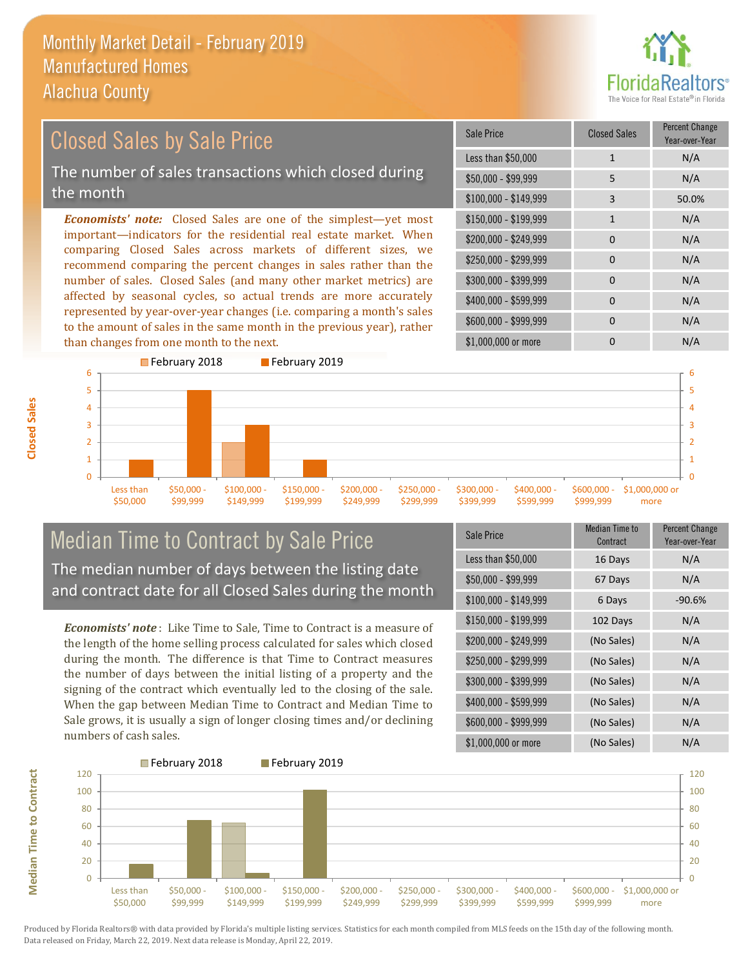

#### *Economists' note:* Closed Sales are one of the simplest—yet most important—indicators for the residential real estate market. When comparing Closed Sales across markets of different sizes, we recommend comparing the percent changes in sales rather than the number of sales. Closed Sales (and many other market metrics) are affected by seasonal cycles, so actual trends are more accurately represented by year-over-year changes (i.e. comparing a month's sales \$250,000 - \$299,999 0 0 N/A \$300,000 - \$399,999 0 0 N/A  $$400,000 - $599,999$  0 N/A \$600,000 - \$999,999 0 0 N/A \$150,000 - \$199,999 1 1 N/A \$200,000 - \$249,999 0 0 N/A \$100,000 - \$149,999 3 50.0% Sale Price Closed Sales Percent Change Year-over-Year Less than \$50,000 1 1 N/A \$50,000 - \$99,999 5 N/A Closed Sales by Sale Price The number of sales transactions which closed during the month

**Closed Sales**

**Median Time to Contract**

**Median Time to Contract** 



#### Median Time to Contract by Sale Price The median number of days between the listing date and contract date for all Closed Sales during the month

to the amount of sales in the same month in the previous year), rather

*Economists' note* : Like Time to Sale, Time to Contract is a measure of the length of the home selling process calculated for sales which closed during the month. The difference is that Time to Contract measures the number of days between the initial listing of a property and the signing of the contract which eventually led to the closing of the sale. When the gap between Median Time to Contract and Median Time to Sale grows, it is usually a sign of longer closing times and/or declining numbers of cash sales.

| Sale Price            | Median Time to<br>Contract | <b>Percent Change</b><br>Year-over-Year |
|-----------------------|----------------------------|-----------------------------------------|
| Less than \$50,000    | 16 Days                    | N/A                                     |
| $$50,000 - $99,999$   | 67 Days                    | N/A                                     |
| $$100,000 - $149,999$ | 6 Days                     | $-90.6%$                                |
| $$150,000 - $199,999$ | 102 Days                   | N/A                                     |
| \$200,000 - \$249,999 | (No Sales)                 | N/A                                     |
| \$250,000 - \$299,999 | (No Sales)                 | N/A                                     |
| \$300,000 - \$399,999 | (No Sales)                 | N/A                                     |
| \$400,000 - \$599,999 | (No Sales)                 | N/A                                     |
| \$600,000 - \$999,999 | (No Sales)                 | N/A                                     |
| \$1,000,000 or more   | (No Sales)                 | N/A                                     |

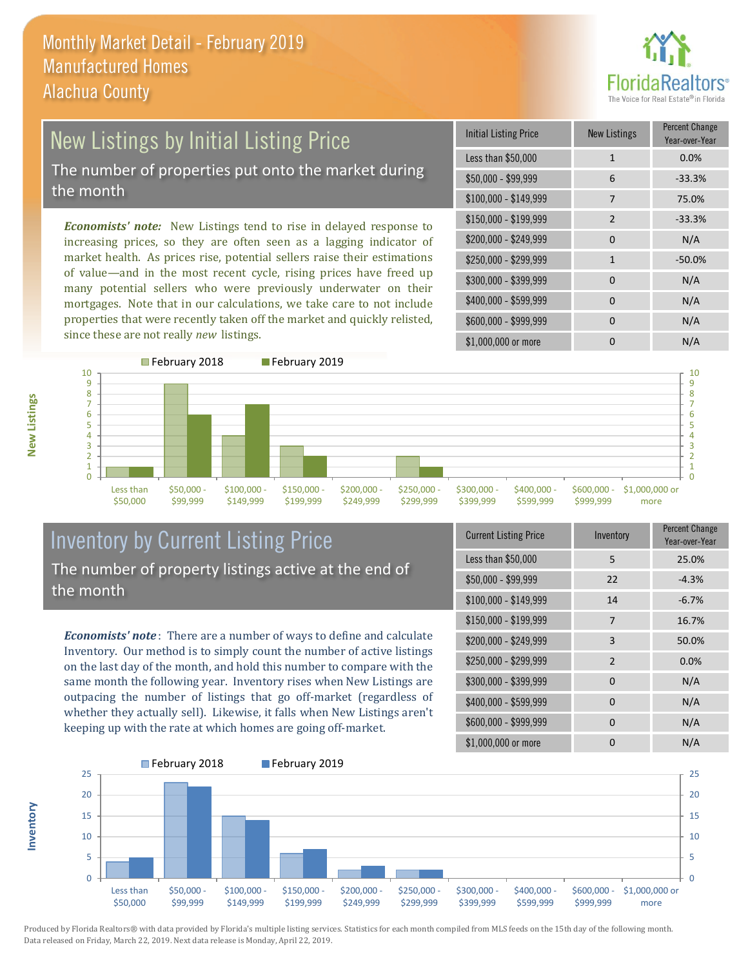

## New Listings by Initial Listing Price The number of properties put onto the market during the month

*Economists' note:* New Listings tend to rise in delayed response to increasing prices, so they are often seen as a lagging indicator of market health. As prices rise, potential sellers raise their estimations of value—and in the most recent cycle, rising prices have freed up many potential sellers who were previously underwater on their mortgages. Note that in our calculations, we take care to not include properties that were recently taken off the market and quickly relisted, since these are not really *new* listings.

| <b>Initial Listing Price</b> | <b>New Listings</b> | <b>Percent Change</b><br>Year-over-Year |
|------------------------------|---------------------|-----------------------------------------|
| Less than \$50,000           | $\mathbf{1}$        | 0.0%                                    |
| \$50,000 - \$99,999          | 6                   | $-33.3%$                                |
| $$100,000 - $149,999$        | 7                   | 75.0%                                   |
| \$150,000 - \$199,999        | $\overline{2}$      | $-33.3%$                                |
| \$200,000 - \$249,999        | 0                   | N/A                                     |
| \$250,000 - \$299,999        | $\mathbf{1}$        | $-50.0%$                                |
| \$300,000 - \$399,999        | $\Omega$            | N/A                                     |
| \$400,000 - \$599,999        | 0                   | N/A                                     |
| \$600,000 - \$999,999        | $\Omega$            | N/A                                     |
| \$1,000,000 or more          | O                   | N/A                                     |



## Inventory by Current Listing Price The number of property listings active at the end of the month

*Economists' note* : There are a number of ways to define and calculate Inventory. Our method is to simply count the number of active listings on the last day of the month, and hold this number to compare with the same month the following year. Inventory rises when New Listings are outpacing the number of listings that go off-market (regardless of whether they actually sell). Likewise, it falls when New Listings aren't keeping up with the rate at which homes are going off-market.

| <b>Current Listing Price</b> | Inventory      | Percent Change<br>Year-over-Year |
|------------------------------|----------------|----------------------------------|
| Less than \$50,000           | 5              | 25.0%                            |
| $$50,000 - $99,999$          | 22             | $-4.3%$                          |
| $$100,000 - $149,999$        | 14             | $-6.7%$                          |
| $$150,000 - $199,999$        | 7              | 16.7%                            |
| \$200,000 - \$249,999        | 3              | 50.0%                            |
| \$250,000 - \$299,999        | $\overline{2}$ | 0.0%                             |
| \$300,000 - \$399,999        | $\Omega$       | N/A                              |
| \$400,000 - \$599,999        | 0              | N/A                              |
| \$600,000 - \$999,999        | $\Omega$       | N/A                              |
| \$1,000,000 or more          | O              | N/A                              |



**New Listings**

**Inventory**